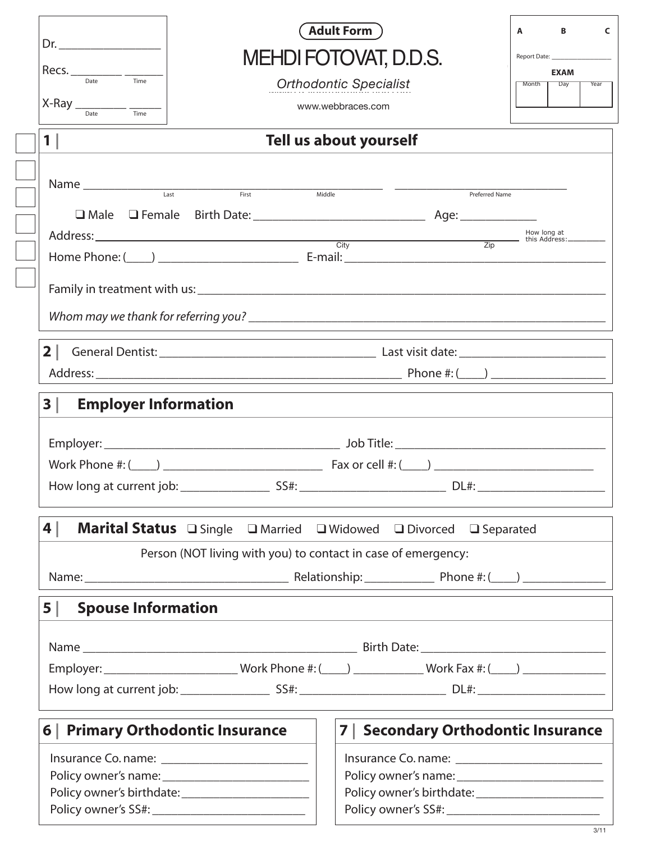|                                   | <b>Adult Form</b> )                                                                                                                                                                                                                | В<br>A                      |  |  |  |  |
|-----------------------------------|------------------------------------------------------------------------------------------------------------------------------------------------------------------------------------------------------------------------------------|-----------------------------|--|--|--|--|
| Dr.                               | <b>MEHDI FOTOVAT, D.D.S.</b>                                                                                                                                                                                                       |                             |  |  |  |  |
| Time                              |                                                                                                                                                                                                                                    | <b>EXAM</b><br>Day<br>Month |  |  |  |  |
|                                   | <b>Orthodontic Specialist</b>                                                                                                                                                                                                      |                             |  |  |  |  |
| $X-Ray$ <sub>Date</sub><br>Time   | www.webbraces.com                                                                                                                                                                                                                  |                             |  |  |  |  |
| $1\vert$                          | Tell us about yourself                                                                                                                                                                                                             |                             |  |  |  |  |
|                                   |                                                                                                                                                                                                                                    |                             |  |  |  |  |
|                                   | Middle<br><b>Preferred Name</b>                                                                                                                                                                                                    |                             |  |  |  |  |
|                                   |                                                                                                                                                                                                                                    |                             |  |  |  |  |
|                                   | Address: <u>Address:</u> The How long at this Address: The How long at this Address: The How long at this Address: The Mullet of the Address: The Mullet of the Address: The Mullet of the Address: The Mullet of the Address: The |                             |  |  |  |  |
|                                   |                                                                                                                                                                                                                                    |                             |  |  |  |  |
|                                   |                                                                                                                                                                                                                                    |                             |  |  |  |  |
|                                   |                                                                                                                                                                                                                                    |                             |  |  |  |  |
|                                   |                                                                                                                                                                                                                                    |                             |  |  |  |  |
|                                   |                                                                                                                                                                                                                                    |                             |  |  |  |  |
|                                   |                                                                                                                                                                                                                                    |                             |  |  |  |  |
|                                   |                                                                                                                                                                                                                                    |                             |  |  |  |  |
| 3 <br><b>Employer Information</b> |                                                                                                                                                                                                                                    |                             |  |  |  |  |
|                                   |                                                                                                                                                                                                                                    |                             |  |  |  |  |
|                                   |                                                                                                                                                                                                                                    |                             |  |  |  |  |
|                                   |                                                                                                                                                                                                                                    |                             |  |  |  |  |
|                                   |                                                                                                                                                                                                                                    |                             |  |  |  |  |
|                                   |                                                                                                                                                                                                                                    |                             |  |  |  |  |
|                                   |                                                                                                                                                                                                                                    |                             |  |  |  |  |
| 4                                 |                                                                                                                                                                                                                                    |                             |  |  |  |  |
|                                   | Marital Status Osingle O Married O Widowed O Divorced O Separated                                                                                                                                                                  |                             |  |  |  |  |
|                                   | Person (NOT living with you) to contact in case of emergency:                                                                                                                                                                      |                             |  |  |  |  |
|                                   |                                                                                                                                                                                                                                    |                             |  |  |  |  |
| 5 <br><b>Spouse Information</b>   |                                                                                                                                                                                                                                    |                             |  |  |  |  |
|                                   |                                                                                                                                                                                                                                    |                             |  |  |  |  |
|                                   |                                                                                                                                                                                                                                    |                             |  |  |  |  |
|                                   | Employer: __________________________Work Phone #: (____) _____________Work Fax #: (____) ________________                                                                                                                          |                             |  |  |  |  |
|                                   |                                                                                                                                                                                                                                    |                             |  |  |  |  |
|                                   |                                                                                                                                                                                                                                    |                             |  |  |  |  |
| 6   Primary Orthodontic Insurance | 7   Secondary Orthodontic Insurance                                                                                                                                                                                                |                             |  |  |  |  |
|                                   |                                                                                                                                                                                                                                    |                             |  |  |  |  |
|                                   |                                                                                                                                                                                                                                    |                             |  |  |  |  |
|                                   |                                                                                                                                                                                                                                    |                             |  |  |  |  |